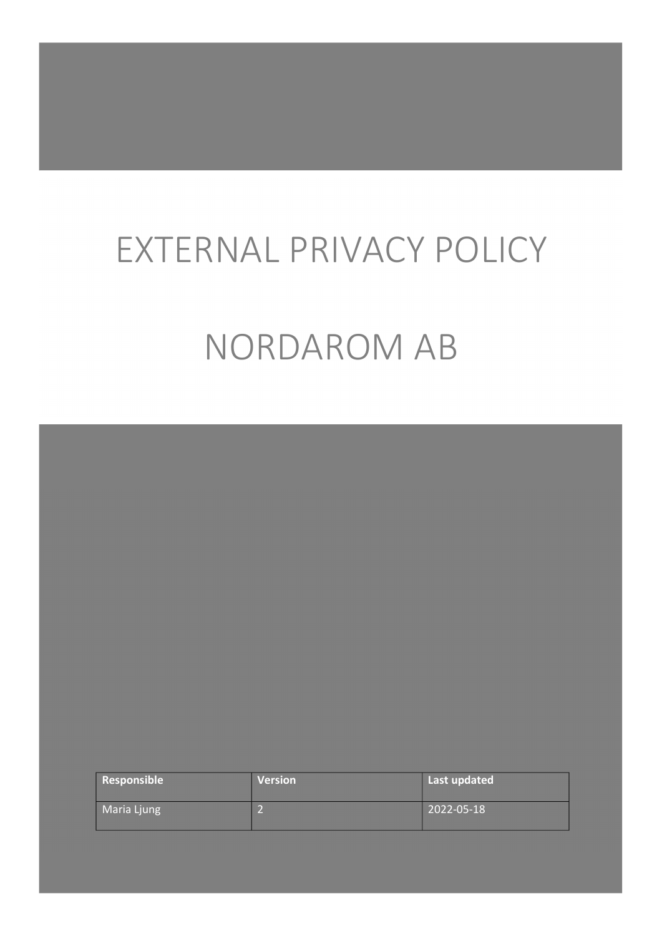# EXTERNAL PRIVACY POLICY NORDAROM AB

| Responsible | <b>Version</b> | Last updated |  |
|-------------|----------------|--------------|--|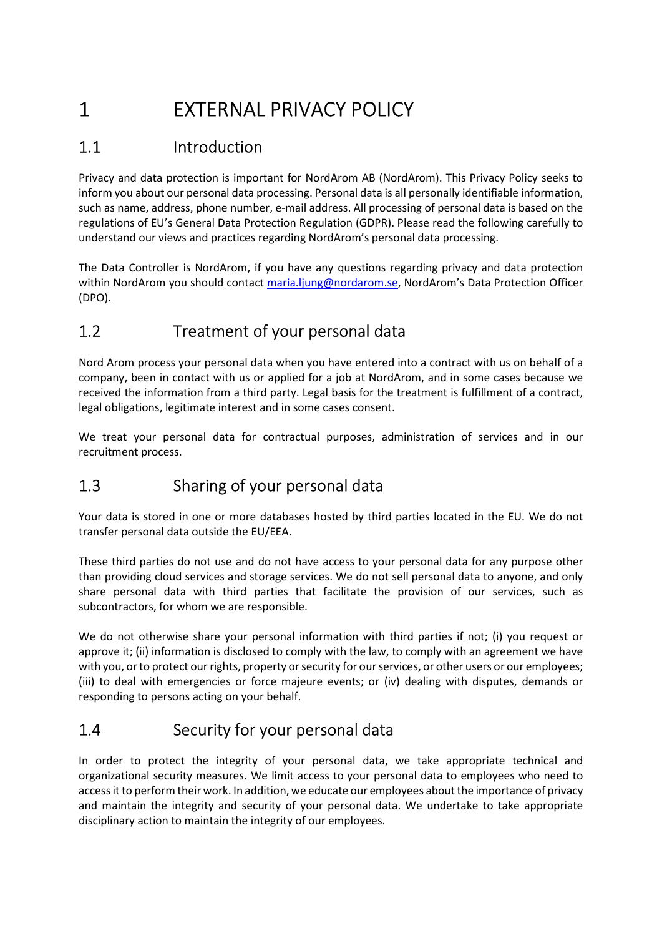# 1 EXTERNAL PRIVACY POLICY

# 1.1 Introduction

Privacy and data protection is important for NordArom AB (NordArom). This Privacy Policy seeks to inform you about our personal data processing. Personal data is all personally identifiable information, such as name, address, phone number, e-mail address. All processing of personal data is based on the regulations of EU's General Data Protection Regulation (GDPR). Please read the following carefully to understand our views and practices regarding NordArom's personal data processing.

The Data Controller is NordArom, if you have any questions regarding privacy and data protection within NordArom you should contact maria.ljung@nordarom.se, NordArom's Data Protection Officer (DPO).

# 1.2 Treatment of your personal data

Nord Arom process your personal data when you have entered into a contract with us on behalf of a company, been in contact with us or applied for a job at NordArom, and in some cases because we received the information from a third party. Legal basis for the treatment is fulfillment of a contract, legal obligations, legitimate interest and in some cases consent.

We treat your personal data for contractual purposes, administration of services and in our recruitment process.

# 1.3 Sharing of your personal data

Your data is stored in one or more databases hosted by third parties located in the EU. We do not transfer personal data outside the EU/EEA.

These third parties do not use and do not have access to your personal data for any purpose other than providing cloud services and storage services. We do not sell personal data to anyone, and only share personal data with third parties that facilitate the provision of our services, such as subcontractors, for whom we are responsible.

We do not otherwise share your personal information with third parties if not; (i) you request or approve it; (ii) information is disclosed to comply with the law, to comply with an agreement we have with you, or to protect our rights, property or security for our services, or other users or our employees; (iii) to deal with emergencies or force majeure events; or (iv) dealing with disputes, demands or responding to persons acting on your behalf.

#### 1.4 Security for your personal data

In order to protect the integrity of your personal data, we take appropriate technical and organizational security measures. We limit access to your personal data to employees who need to access it to perform their work. In addition, we educate our employees about the importance of privacy and maintain the integrity and security of your personal data. We undertake to take appropriate disciplinary action to maintain the integrity of our employees.